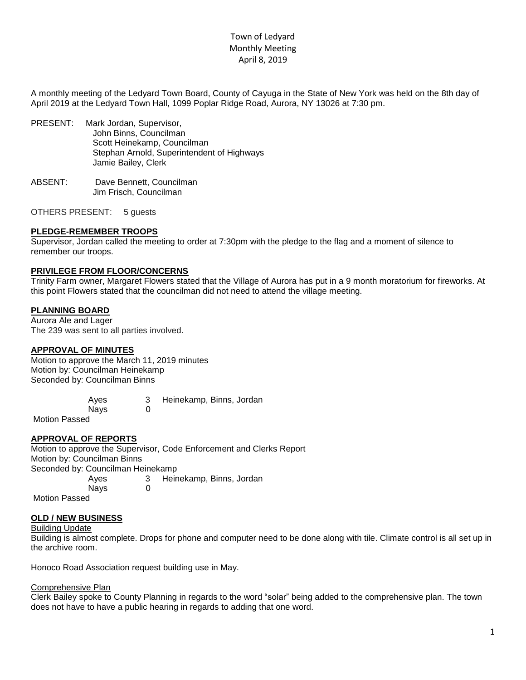# Town of Ledyard Monthly Meeting April 8, 2019

A monthly meeting of the Ledyard Town Board, County of Cayuga in the State of New York was held on the 8th day of April 2019 at the Ledyard Town Hall, 1099 Poplar Ridge Road, Aurora, NY 13026 at 7:30 pm.

- PRESENT: Mark Jordan, Supervisor, John Binns, Councilman Scott Heinekamp, Councilman Stephan Arnold, Superintendent of Highways Jamie Bailey, Clerk
- ABSENT: Dave Bennett, Councilman Jim Frisch, Councilman

OTHERS PRESENT: 5 guests

## **PLEDGE-REMEMBER TROOPS**

Supervisor, Jordan called the meeting to order at 7:30pm with the pledge to the flag and a moment of silence to remember our troops.

## **PRIVILEGE FROM FLOOR/CONCERNS**

Trinity Farm owner, Margaret Flowers stated that the Village of Aurora has put in a 9 month moratorium for fireworks. At this point Flowers stated that the councilman did not need to attend the village meeting.

## **PLANNING BOARD**

Aurora Ale and Lager The 239 was sent to all parties involved.

## **APPROVAL OF MINUTES**

Motion to approve the March 11, 2019 minutes Motion by: Councilman Heinekamp Seconded by: Councilman Binns

> Ayes 3 Heinekamp, Binns, Jordan Nays 0

Motion Passed

## **APPROVAL OF REPORTS**

Motion to approve the Supervisor, Code Enforcement and Clerks Report Motion by: Councilman Binns Seconded by: Councilman Heinekamp Ayes 3 Heinekamp, Binns, Jordan Navs 0 Motion Passed

## **OLD / NEW BUSINESS**

### Building Update

Building is almost complete. Drops for phone and computer need to be done along with tile. Climate control is all set up in the archive room.

Honoco Road Association request building use in May.

### Comprehensive Plan

Clerk Bailey spoke to County Planning in regards to the word "solar" being added to the comprehensive plan. The town does not have to have a public hearing in regards to adding that one word.